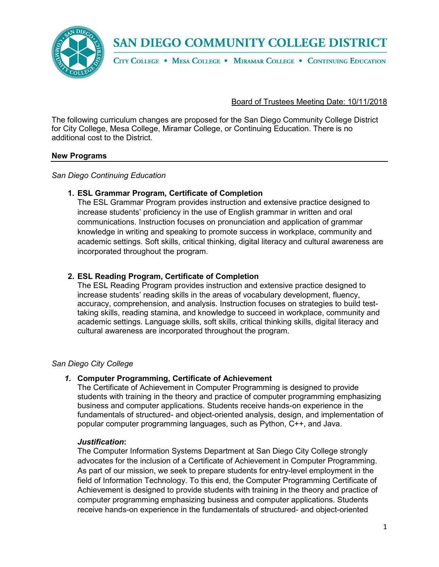**SAN DIEGO COMMUNITY COLLEGE DISTRICT** 



CITY COLLEGE . MESA COLLEGE . MIRAMAR COLLEGE . CONTINUING EDUCATION

### Board of Trustees Meeting Date: 10/11/2018

The following curriculum changes are proposed for the San Diego Community College District for City College, Mesa College, Miramar College, or Continuing Education. There is no additional cost to the District.

#### **New Programs**

#### *San Diego Continuing Education*

## **1. ESL Grammar Program, Certificate of Completion**

The ESL Grammar Program provides instruction and extensive practice designed to increase students' proficiency in the use of English grammar in written and oral communications. Instruction focuses on pronunciation and application of grammar knowledge in writing and speaking to promote success in workplace, community and academic settings. Soft skills, critical thinking, digital literacy and cultural awareness are incorporated throughout the program.

## **2. ESL Reading Program, Certificate of Completion**

The ESL Reading Program provides instruction and extensive practice designed to increase students' reading skills in the areas of vocabulary development, fluency, accuracy, comprehension, and analysis. Instruction focuses on strategies to build testtaking skills, reading stamina, and knowledge to succeed in workplace, community and academic settings. Language skills, soft skills, critical thinking skills, digital literacy and cultural awareness are incorporated throughout the program.

#### *San Diego City College*

#### *1.* **Computer Programming, Certificate of Achievement**

The Certificate of Achievement in Computer Programming is designed to provide students with training in the theory and practice of computer programming emphasizing business and computer applications. Students receive hands-on experience in the fundamentals of structured- and object-oriented analysis, design, and implementation of popular computer programming languages, such as Python, C++, and Java.

#### *Justification***:**

The Computer Information Systems Department at San Diego City College strongly advocates for the inclusion of a Certificate of Achievement in Computer Programming. As part of our mission, we seek to prepare students for entry-level employment in the field of Information Technology. To this end, the Computer Programming Certificate of Achievement is designed to provide students with training in the theory and practice of computer programming emphasizing business and computer applications. Students receive hands-on experience in the fundamentals of structured- and object-oriented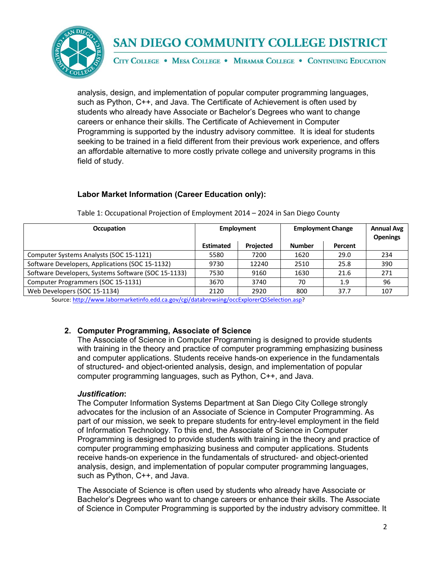

# **SAN DIEGO COMMUNITY COLLEGE DISTRICT**

CITY COLLEGE . MESA COLLEGE . MIRAMAR COLLEGE . CONTINUING EDUCATION

analysis, design, and implementation of popular computer programming languages, such as Python, C++, and Java. The Certificate of Achievement is often used by students who already have Associate or Bachelor's Degrees who want to change careers or enhance their skills. The Certificate of Achievement in Computer Programming is supported by the industry advisory committee. It is ideal for students seeking to be trained in a field different from their previous work experience, and offers an affordable alternative to more costly private college and university programs in this field of study.

## **Labor Market Information (Career Education only):**

| <b>Occupation</b>                                   | Employment       |           | <b>Employment Change</b> |         | <b>Annual Avg</b><br><b>Openings</b> |
|-----------------------------------------------------|------------------|-----------|--------------------------|---------|--------------------------------------|
|                                                     | <b>Estimated</b> | Projected | <b>Number</b>            | Percent |                                      |
| Computer Systems Analysts (SOC 15-1121)             | 5580             | 7200      | 1620                     | 29.0    | 234                                  |
| Software Developers, Applications (SOC 15-1132)     | 9730             | 12240     | 2510                     | 25.8    | 390                                  |
| Software Developers, Systems Software (SOC 15-1133) | 7530             | 9160      | 1630                     | 21.6    | 271                                  |
| Computer Programmers (SOC 15-1131)                  | 3670             | 3740      | 70                       | 1.9     | 96                                   |
| Web Developers (SOC 15-1134)                        | 2120             | 2920      | 800                      | 37.7    | 107                                  |

Table 1: Occupational Projection of Employment 2014 – 2024 in San Diego County

Source[: http://www.labormarketinfo.edd.ca.gov/cgi/databrowsing/occExplorerQSSelection.asp?](http://www.labormarketinfo.edd.ca.gov/cgi/databrowsing/occExplorerQSSelection.asp)

## **2. Computer Programming, Associate of Science**

The Associate of Science in Computer Programming is designed to provide students with training in the theory and practice of computer programming emphasizing business and computer applications. Students receive hands-on experience in the fundamentals of structured- and object-oriented analysis, design, and implementation of popular computer programming languages, such as Python, C++, and Java.

## *Justification***:**

The Computer Information Systems Department at San Diego City College strongly advocates for the inclusion of an Associate of Science in Computer Programming. As part of our mission, we seek to prepare students for entry-level employment in the field of Information Technology. To this end, the Associate of Science in Computer Programming is designed to provide students with training in the theory and practice of computer programming emphasizing business and computer applications. Students receive hands-on experience in the fundamentals of structured- and object-oriented analysis, design, and implementation of popular computer programming languages, such as Python, C++, and Java.

The Associate of Science is often used by students who already have Associate or Bachelor's Degrees who want to change careers or enhance their skills. The Associate of Science in Computer Programming is supported by the industry advisory committee. It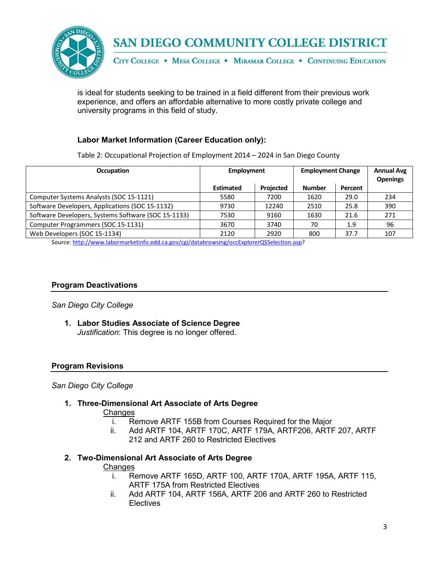

is ideal for students seeking to be trained in a field different from their previous work experience, and offers an affordable alternative to more costly private college and university programs in this field of study.

# **Labor Market Information (Career Education only):**

Table 2: Occupational Projection of Employment 2014 – 2024 in San Diego County

| <b>Occupation</b>                                   | Employment       |           | <b>Employment Change</b> |         | <b>Annual Avg</b><br><b>Openings</b> |
|-----------------------------------------------------|------------------|-----------|--------------------------|---------|--------------------------------------|
|                                                     | <b>Estimated</b> | Projected | <b>Number</b>            | Percent |                                      |
| Computer Systems Analysts (SOC 15-1121)             | 5580             | 7200      | 1620                     | 29.0    | 234                                  |
| Software Developers, Applications (SOC 15-1132)     | 9730             | 12240     | 2510                     | 25.8    | 390                                  |
| Software Developers, Systems Software (SOC 15-1133) | 7530             | 9160      | 1630                     | 21.6    | 271                                  |
| Computer Programmers (SOC 15-1131)                  | 3670             | 3740      | 70                       | 1.9     | 96                                   |
| Web Developers (SOC 15-1134)                        | 2120             | 2920      | 800                      | 37.7    | 107                                  |

Source[: http://www.labormarketinfo.edd.ca.gov/cgi/databrowsing/occExplorerQSSelection.asp?](http://www.labormarketinfo.edd.ca.gov/cgi/databrowsing/occExplorerQSSelection.asp)

## **Program Deactivations**

*San Diego City College*

**1. Labor Studies Associate of Science Degree** *Justification*: This degree is no longer offered.

## **Program Revisions**

*San Diego City College*

## **1. Three-Dimensional Art Associate of Arts Degree**

Changes

- i. Remove ARTF 155B from Courses Required for the Major
- ii. Add ARTF 104, ARTF 170C, ARTF 179A, ARTF206, ARTF 207, ARTF 212 and ARTF 260 to Restricted Electives

## **2. Two-Dimensional Art Associate of Arts Degree**

#### **Changes**

- i. Remove ARTF 165D, ARTF 100, ARTF 170A, ARTF 195A, ARTF 115, ARTF 175A from Restricted Electives
- ii. Add ARTF 104, ARTF 156A, ARTF 206 and ARTF 260 to Restricted **Electives**